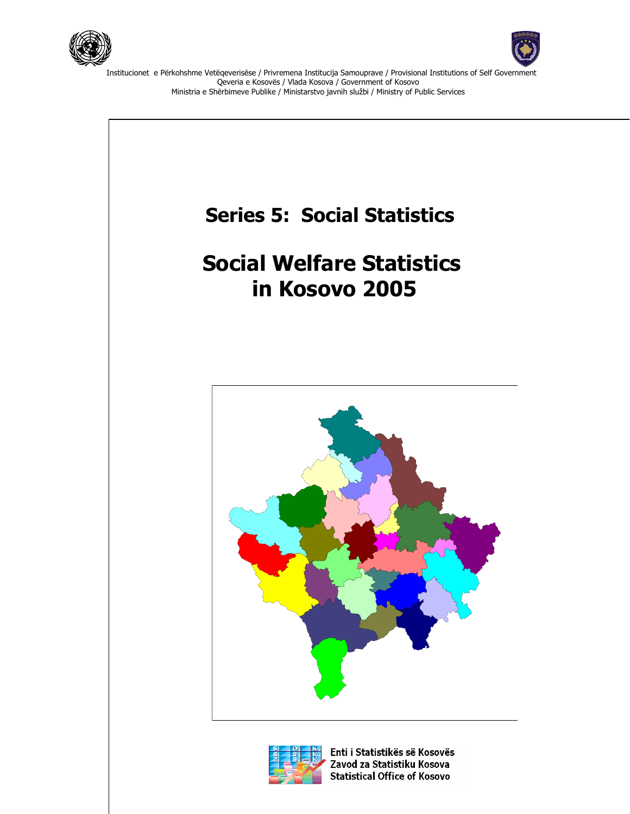



Institucionet e Përkohshme Vetëqeverisëse / Privremena Institucija Samouprave / Provisional Institutions of Self Government Qeveria e Kosovës / Vlada Kosova / Government of Kosovo Ministria e Shërbimeve Publike / Ministarstvo javnih službi / Ministry of Public Services





Enti i Statistikës së Kosovës Zavod za Statistiku Kosova **Statistical Office of Kosovo**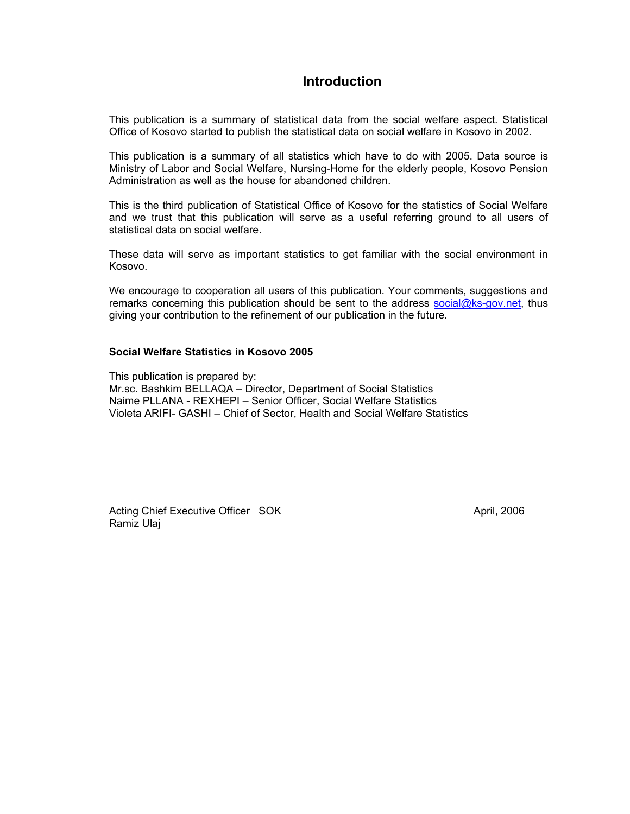### **Introduction**

This publication is a summary of statistical data from the social welfare aspect. Statistical Office of Kosovo started to publish the statistical data on social welfare in Kosovo in 2002.

This publication is a summary of all statistics which have to do with 2005. Data source is Ministry of Labor and Social Welfare, Nursing-Home for the elderly people, Kosovo Pension Administration as well as the house for abandoned children.

This is the third publication of Statistical Office of Kosovo for the statistics of Social Welfare and we trust that this publication will serve as a useful referring ground to all users of statistical data on social welfare.

These data will serve as important statistics to get familiar with the social environment in Kosovo.

We encourage to cooperation all users of this publication. Your comments, suggestions and remarks concerning this publication should be sent to the address social@ks-gov.net, thus giving your contribution to the refinement of our publication in the future.

#### **Social Welfare Statistics in Kosovo 2005**

This publication is prepared by: Mr.sc. Bashkim BELLAQA – Director, Department of Social Statistics Naime PLLANA - REXHEPI – Senior Officer, Social Welfare Statistics Violeta ARIFI- GASHI – Chief of Sector, Health and Social Welfare Statistics

Acting Chief Executive Officer SOK April, 2006 Ramiz Ulaj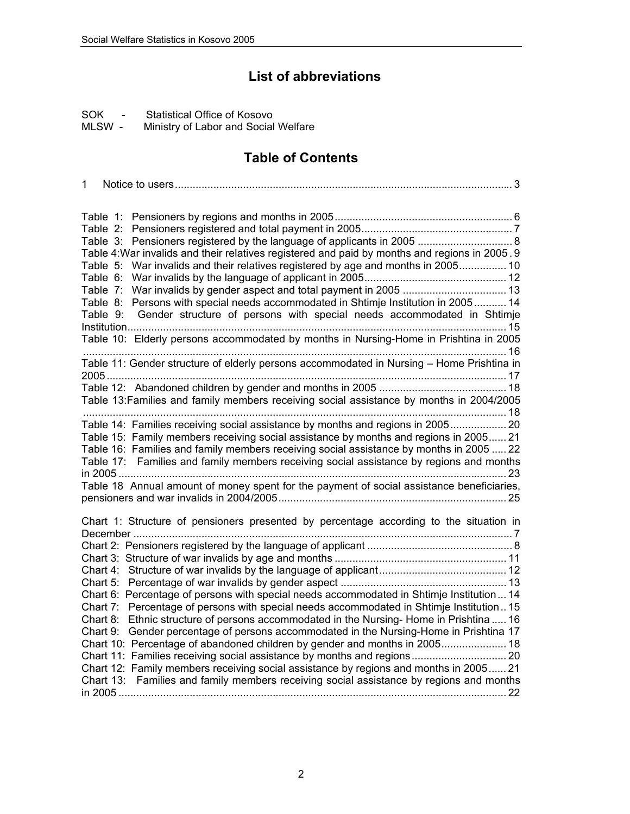# **List of abbreviations**

SOK - Statistical Office of Kosovo<br>MLSW - Ministry of Labor and Social

Ministry of Labor and Social Welfare

# **Table of Contents**

| 1                                                                                                                                                                                                                                                                                                                                                                                                                                                                                                                                                                                                                                                                                                                                                                                                               |
|-----------------------------------------------------------------------------------------------------------------------------------------------------------------------------------------------------------------------------------------------------------------------------------------------------------------------------------------------------------------------------------------------------------------------------------------------------------------------------------------------------------------------------------------------------------------------------------------------------------------------------------------------------------------------------------------------------------------------------------------------------------------------------------------------------------------|
| Table 1:<br>Table 2:<br>Table 3:<br>Table 4: War invalids and their relatives registered and paid by months and regions in 2005. 9<br>War invalids and their relatives registered by age and months in 2005 10<br>Table 5:<br>Table 6:<br>Table 7:<br>Table 8: Persons with special needs accommodated in Shtimje Institution in 2005 14<br>Gender structure of persons with special needs accommodated in Shtimje<br>Table 9:<br>Table 10: Elderly persons accommodated by months in Nursing-Home in Prishtina in 2005                                                                                                                                                                                                                                                                                         |
| Table 11: Gender structure of elderly persons accommodated in Nursing - Home Prishtina in<br>Table 13: Families and family members receiving social assistance by months in 2004/2005                                                                                                                                                                                                                                                                                                                                                                                                                                                                                                                                                                                                                           |
| Table 14: Families receiving social assistance by months and regions in 2005 20<br>Table 15: Family members receiving social assistance by months and regions in 2005 21<br>Table 16: Families and family members receiving social assistance by months in 2005  22<br>Table 17: Families and family members receiving social assistance by regions and months                                                                                                                                                                                                                                                                                                                                                                                                                                                  |
| Table 18 Annual amount of money spent for the payment of social assistance beneficiaries,                                                                                                                                                                                                                                                                                                                                                                                                                                                                                                                                                                                                                                                                                                                       |
| Chart 1: Structure of pensioners presented by percentage according to the situation in<br>Chart 6: Percentage of persons with special needs accommodated in Shtimje Institution 14<br>Chart 7: Percentage of persons with special needs accommodated in Shtimje Institution 15<br>Chart 8: Ethnic structure of persons accommodated in the Nursing-Home in Prishtina  16<br>Chart 9: Gender percentage of persons accommodated in the Nursing-Home in Prishtina 17<br>Chart 10: Percentage of abandoned children by gender and months in 2005 18<br>Chart 11: Families receiving social assistance by months and regions 20<br>Chart 12: Family members receiving social assistance by regions and months in 2005 21<br>Chart 13: Families and family members receiving social assistance by regions and months |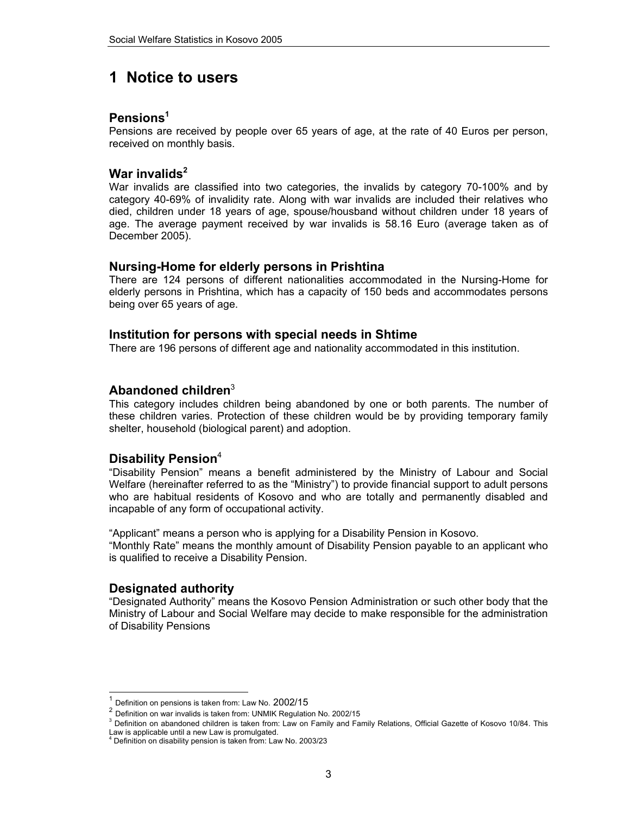## **1 Notice to users**

### **Pensions1**

Pensions are received by people over 65 years of age, at the rate of 40 Euros per person, received on monthly basis.

### War invalids<sup>2</sup>

War invalids are classified into two categories, the invalids by category 70-100% and by category 40-69% of invalidity rate. Along with war invalids are included their relatives who died, children under 18 years of age, spouse/housband without children under 18 years of age. The average payment received by war invalids is 58.16 Euro (average taken as of December 2005).

### **Nursing-Home for elderly persons in Prishtina**

There are 124 persons of different nationalities accommodated in the Nursing-Home for elderly persons in Prishtina, which has a capacity of 150 beds and accommodates persons being over 65 years of age.

### **Institution for persons with special needs in Shtime**

There are 196 persons of different age and nationality accommodated in this institution.

### **Abandoned children**<sup>3</sup>

This category includes children being abandoned by one or both parents. The number of these children varies. Protection of these children would be by providing temporary family shelter, household (biological parent) and adoption.

### Disability Pension<sup>4</sup>

"Disability Pension" means a benefit administered by the Ministry of Labour and Social Welfare (hereinafter referred to as the "Ministry") to provide financial support to adult persons who are habitual residents of Kosovo and who are totally and permanently disabled and incapable of any form of occupational activity.

"Applicant" means a person who is applying for a Disability Pension in Kosovo. "Monthly Rate" means the monthly amount of Disability Pension payable to an applicant who is qualified to receive a Disability Pension.

### **Designated authority**

l

"Designated Authority" means the Kosovo Pension Administration or such other body that the Ministry of Labour and Social Welfare may decide to make responsible for the administration of Disability Pensions

 $^{\mathrm{1}}$  Definition on pensions is taken from: Law No. 2002/15<br> $^{\mathrm{2}}$  Definition on war invalids is taken from: UNMIK Regulation No. 2002/15

<sup>&</sup>lt;sup>3</sup> Definition on abandoned children is taken from: Law on Family and Family Relations, Official Gazette of Kosovo 10/84. This

Law is applicable until a new Law is promulgated. 4 Definition on disability pension is taken from: Law No. 2003/23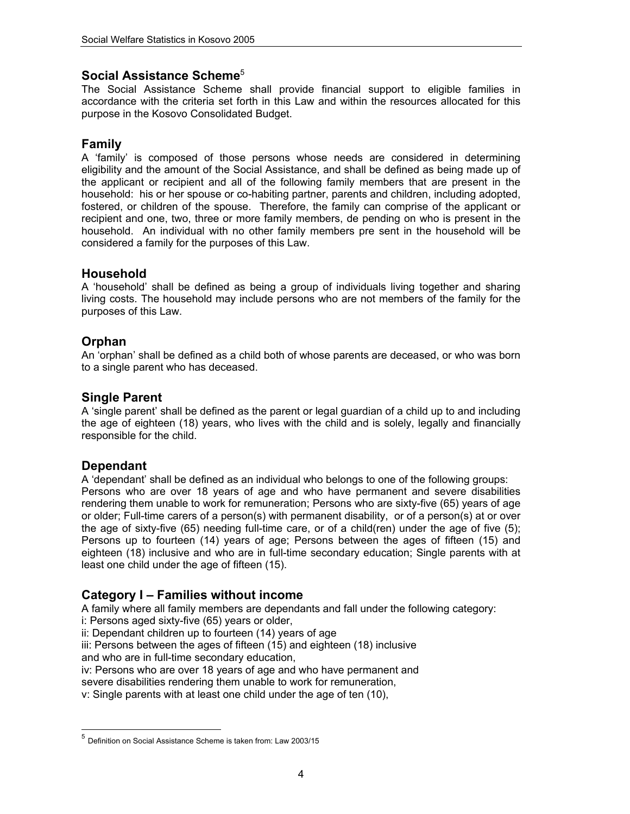### Social Assistance Scheme<sup>5</sup>

The Social Assistance Scheme shall provide financial support to eligible families in accordance with the criteria set forth in this Law and within the resources allocated for this purpose in the Kosovo Consolidated Budget.

### **Family**

A 'family' is composed of those persons whose needs are considered in determining eligibility and the amount of the Social Assistance, and shall be defined as being made up of the applicant or recipient and all of the following family members that are present in the household: his or her spouse or co-habiting partner, parents and children, including adopted, fostered, or children of the spouse. Therefore, the family can comprise of the applicant or recipient and one, two, three or more family members, de pending on who is present in the household. An individual with no other family members pre sent in the household will be considered a family for the purposes of this Law.

### **Household**

A 'household' shall be defined as being a group of individuals living together and sharing living costs. The household may include persons who are not members of the family for the purposes of this Law.

### **Orphan**

An 'orphan' shall be defined as a child both of whose parents are deceased, or who was born to a single parent who has deceased.

### **Single Parent**

A 'single parent' shall be defined as the parent or legal guardian of a child up to and including the age of eighteen (18) years, who lives with the child and is solely, legally and financially responsible for the child.

### **Dependant**

l

A 'dependant' shall be defined as an individual who belongs to one of the following groups: Persons who are over 18 years of age and who have permanent and severe disabilities rendering them unable to work for remuneration; Persons who are sixty-five (65) years of age or older; Full-time carers of a person(s) with permanent disability, or of a person(s) at or over the age of sixty-five (65) needing full-time care, or of a child(ren) under the age of five (5); Persons up to fourteen (14) years of age; Persons between the ages of fifteen (15) and eighteen (18) inclusive and who are in full-time secondary education; Single parents with at least one child under the age of fifteen (15).

### **Category I – Families without income**

A family where all family members are dependants and fall under the following category:

i: Persons aged sixty-five (65) years or older,

ii: Dependant children up to fourteen (14) years of age

iii: Persons between the ages of fifteen (15) and eighteen (18) inclusive and who are in full-time secondary education,

iv: Persons who are over 18 years of age and who have permanent and

severe disabilities rendering them unable to work for remuneration,

v: Single parents with at least one child under the age of ten (10),

<sup>5</sup> Definition on Social Assistance Scheme is taken from: Law 2003/15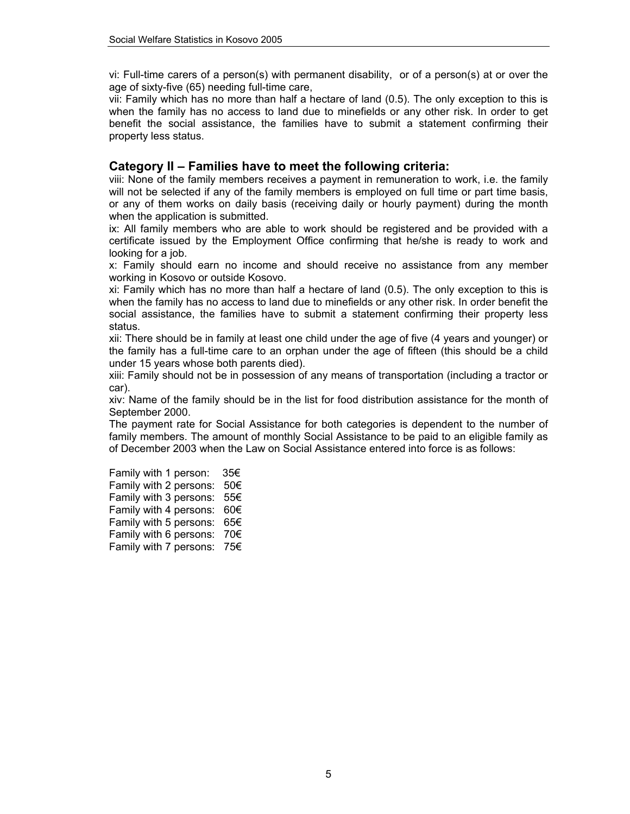vi: Full-time carers of a person(s) with permanent disability, or of a person(s) at or over the age of sixty-five (65) needing full-time care,

vii: Family which has no more than half a hectare of land (0.5). The only exception to this is when the family has no access to land due to minefields or any other risk. In order to get benefit the social assistance, the families have to submit a statement confirming their property less status.

### **Category II – Families have to meet the following criteria:**

viii: None of the family members receives a payment in remuneration to work, i.e. the family will not be selected if any of the family members is employed on full time or part time basis, or any of them works on daily basis (receiving daily or hourly payment) during the month when the application is submitted.

ix: All family members who are able to work should be registered and be provided with a certificate issued by the Employment Office confirming that he/she is ready to work and looking for a job.

x: Family should earn no income and should receive no assistance from any member working in Kosovo or outside Kosovo.

xi: Family which has no more than half a hectare of land (0.5). The only exception to this is when the family has no access to land due to minefields or any other risk. In order benefit the social assistance, the families have to submit a statement confirming their property less status.

xii: There should be in family at least one child under the age of five (4 years and younger) or the family has a full-time care to an orphan under the age of fifteen (this should be a child under 15 years whose both parents died).

xiii: Family should not be in possession of any means of transportation (including a tractor or car).

xiv: Name of the family should be in the list for food distribution assistance for the month of September 2000.

The payment rate for Social Assistance for both categories is dependent to the number of family members. The amount of monthly Social Assistance to be paid to an eligible family as of December 2003 when the Law on Social Assistance entered into force is as follows:

Family with 1 person: 35€ Family with 2 persons: 50€ Family with 3 persons: 55€ Family with 4 persons: 60€ Family with 5 persons: 65€ Family with 6 persons: 70€ Family with 7 persons: 75€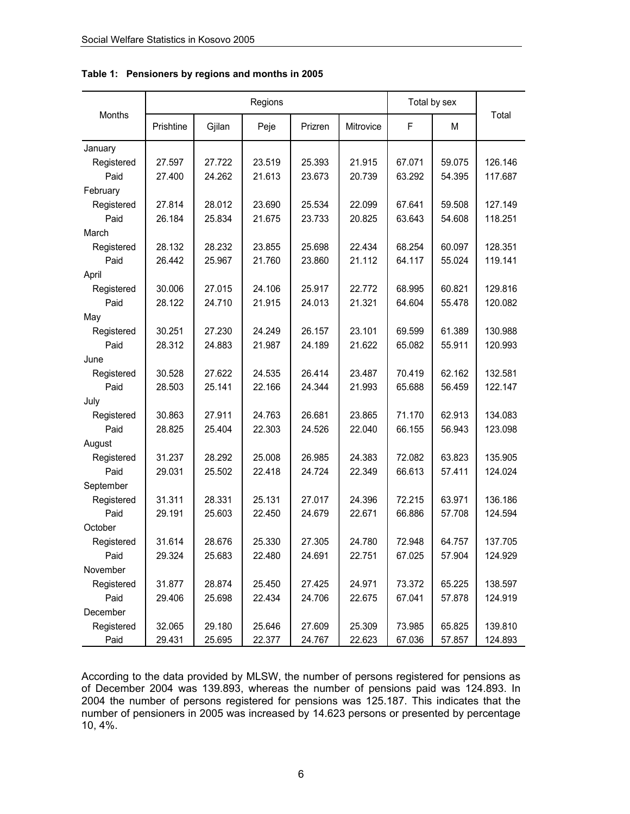|            | Regions   |        |        |         |           | Total by sex |        |         |
|------------|-----------|--------|--------|---------|-----------|--------------|--------|---------|
| Months     | Prishtine | Gjilan | Peje   | Prizren | Mitrovice | F            | м      | Total   |
| January    |           |        |        |         |           |              |        |         |
| Registered | 27.597    | 27.722 | 23.519 | 25.393  | 21.915    | 67.071       | 59.075 | 126.146 |
| Paid       | 27.400    | 24.262 | 21.613 | 23.673  | 20.739    | 63.292       | 54.395 | 117.687 |
| February   |           |        |        |         |           |              |        |         |
| Registered | 27.814    | 28.012 | 23.690 | 25.534  | 22.099    | 67.641       | 59.508 | 127.149 |
| Paid       | 26.184    | 25.834 | 21.675 | 23.733  | 20.825    | 63.643       | 54.608 | 118.251 |
| March      |           |        |        |         |           |              |        |         |
| Registered | 28.132    | 28.232 | 23.855 | 25.698  | 22.434    | 68.254       | 60.097 | 128.351 |
| Paid       | 26.442    | 25.967 | 21.760 | 23.860  | 21.112    | 64.117       | 55.024 | 119.141 |
| April      |           |        |        |         |           |              |        |         |
| Registered | 30.006    | 27.015 | 24.106 | 25.917  | 22.772    | 68.995       | 60.821 | 129.816 |
| Paid       | 28.122    | 24.710 | 21.915 | 24.013  | 21.321    | 64.604       | 55.478 | 120.082 |
| May        |           |        |        |         |           |              |        |         |
| Registered | 30.251    | 27.230 | 24.249 | 26.157  | 23.101    | 69.599       | 61.389 | 130.988 |
| Paid       | 28.312    | 24.883 | 21.987 | 24.189  | 21.622    | 65.082       | 55.911 | 120.993 |
| June       |           |        |        |         |           |              |        |         |
| Registered | 30.528    | 27.622 | 24.535 | 26.414  | 23.487    | 70.419       | 62.162 | 132.581 |
| Paid       | 28.503    | 25.141 | 22.166 | 24.344  | 21.993    | 65.688       | 56.459 | 122.147 |
| July       |           |        |        |         |           |              |        |         |
| Registered | 30.863    | 27.911 | 24.763 | 26.681  | 23.865    | 71.170       | 62.913 | 134.083 |
| Paid       | 28.825    | 25.404 | 22.303 | 24.526  | 22.040    | 66.155       | 56.943 | 123.098 |
| August     |           |        |        |         |           |              |        |         |
| Registered | 31.237    | 28.292 | 25.008 | 26.985  | 24.383    | 72.082       | 63.823 | 135.905 |
| Paid       | 29.031    | 25.502 | 22.418 | 24.724  | 22.349    | 66.613       | 57.411 | 124.024 |
| September  |           |        |        |         |           |              |        |         |
| Registered | 31.311    | 28.331 | 25.131 | 27.017  | 24.396    | 72.215       | 63.971 | 136.186 |
| Paid       | 29.191    | 25.603 | 22.450 | 24.679  | 22.671    | 66.886       | 57.708 | 124.594 |
| October    |           |        |        |         |           |              |        |         |
| Registered | 31.614    | 28.676 | 25.330 | 27.305  | 24.780    | 72.948       | 64.757 | 137.705 |
| Paid       | 29.324    | 25.683 | 22.480 | 24.691  | 22.751    | 67.025       | 57.904 | 124.929 |
| November   |           |        |        |         |           |              |        |         |
| Registered | 31.877    | 28.874 | 25.450 | 27.425  | 24.971    | 73.372       | 65.225 | 138.597 |
| Paid       | 29.406    | 25.698 | 22.434 | 24.706  | 22.675    | 67.041       | 57.878 | 124.919 |
| December   |           |        |        |         |           |              |        |         |
| Registered | 32.065    | 29.180 | 25.646 | 27.609  | 25.309    | 73.985       | 65.825 | 139.810 |
| Paid       | 29.431    | 25.695 | 22.377 | 24.767  | 22.623    | 67.036       | 57.857 | 124.893 |

**Table 1: Pensioners by regions and months in 2005** 

According to the data provided by MLSW, the number of persons registered for pensions as of December 2004 was 139.893, whereas the number of pensions paid was 124.893. In 2004 the number of persons registered for pensions was 125.187. This indicates that the number of pensioners in 2005 was increased by 14.623 persons or presented by percentage 10, 4%.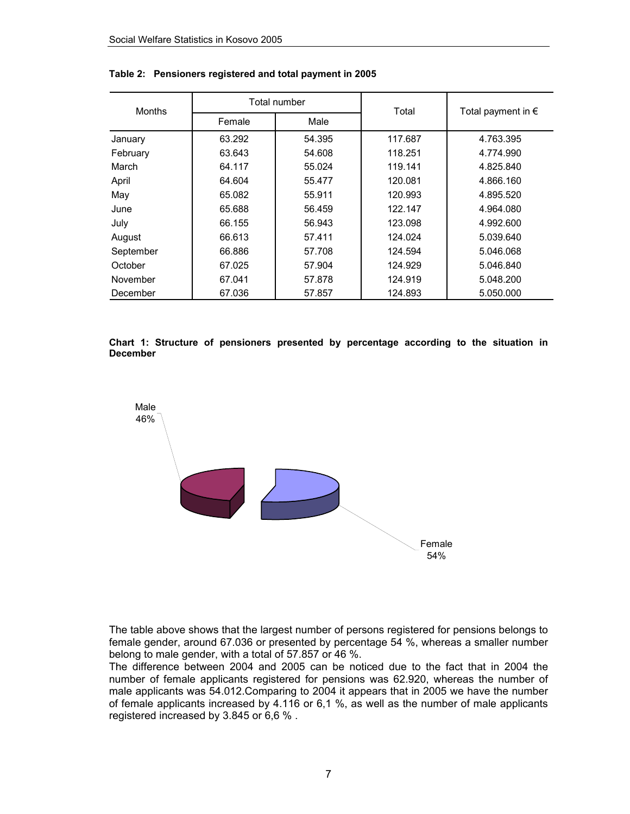| <b>Months</b> |        | Total number |         | Total payment in $\epsilon$ |  |
|---------------|--------|--------------|---------|-----------------------------|--|
|               | Female | Male         | Total   |                             |  |
| January       | 63.292 | 54.395       | 117.687 | 4.763.395                   |  |
| February      | 63.643 | 54.608       | 118.251 | 4.774.990                   |  |
| March         | 64.117 | 55.024       | 119.141 | 4.825.840                   |  |
| April         | 64.604 | 55.477       | 120.081 | 4.866.160                   |  |
| May           | 65.082 | 55.911       | 120.993 | 4.895.520                   |  |
| June          | 65.688 | 56.459       | 122.147 | 4.964.080                   |  |
| July          | 66.155 | 56.943       | 123.098 | 4.992.600                   |  |
| August        | 66.613 | 57.411       | 124.024 | 5.039.640                   |  |
| September     | 66.886 | 57.708       | 124.594 | 5.046.068                   |  |
| October       | 67.025 | 57.904       | 124.929 | 5.046.840                   |  |
| November      | 67.041 | 57.878       | 124.919 | 5.048.200                   |  |
| December      | 67.036 | 57.857       | 124.893 | 5.050.000                   |  |

**Table 2: Pensioners registered and total payment in 2005** 

**Chart 1: Structure of pensioners presented by percentage according to the situation in December** 



The table above shows that the largest number of persons registered for pensions belongs to female gender, around 67.036 or presented by percentage 54 %, whereas a smaller number belong to male gender, with a total of 57.857 or 46 %.

The difference between 2004 and 2005 can be noticed due to the fact that in 2004 the number of female applicants registered for pensions was 62.920, whereas the number of male applicants was 54.012.Comparing to 2004 it appears that in 2005 we have the number of female applicants increased by 4.116 or 6,1 %, as well as the number of male applicants registered increased by 3.845 or 6,6 % .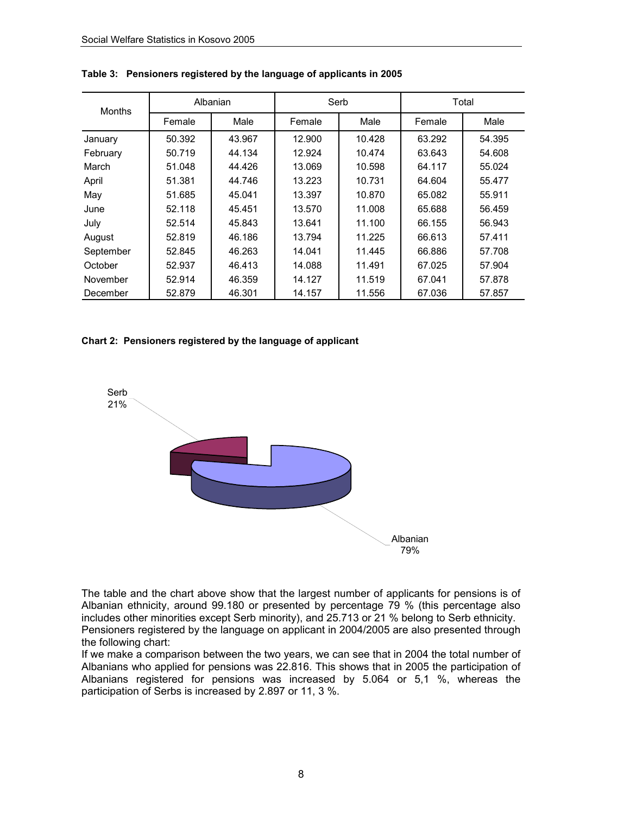| <b>Months</b> | Albanian |        | Serb   |        | Total  |        |
|---------------|----------|--------|--------|--------|--------|--------|
|               | Female   | Male   | Female | Male   | Female | Male   |
| January       | 50.392   | 43.967 | 12.900 | 10.428 | 63.292 | 54.395 |
| February      | 50.719   | 44.134 | 12.924 | 10.474 | 63.643 | 54.608 |
| March         | 51.048   | 44.426 | 13.069 | 10.598 | 64.117 | 55.024 |
| April         | 51.381   | 44.746 | 13.223 | 10.731 | 64.604 | 55.477 |
| May           | 51.685   | 45.041 | 13.397 | 10.870 | 65.082 | 55.911 |
| June          | 52.118   | 45.451 | 13.570 | 11.008 | 65.688 | 56.459 |
| July          | 52.514   | 45.843 | 13.641 | 11.100 | 66.155 | 56.943 |
| August        | 52.819   | 46.186 | 13.794 | 11.225 | 66.613 | 57.411 |
| September     | 52.845   | 46.263 | 14.041 | 11.445 | 66.886 | 57.708 |
| October       | 52.937   | 46.413 | 14.088 | 11.491 | 67.025 | 57.904 |
| November      | 52.914   | 46.359 | 14.127 | 11.519 | 67.041 | 57.878 |
| December      | 52.879   | 46.301 | 14.157 | 11.556 | 67.036 | 57.857 |

**Table 3: Pensioners registered by the language of applicants in 2005** 

#### **Chart 2: Pensioners registered by the language of applicant**



The table and the chart above show that the largest number of applicants for pensions is of Albanian ethnicity, around 99.180 or presented by percentage 79 % (this percentage also includes other minorities except Serb minority), and 25.713 or 21 % belong to Serb ethnicity. Pensioners registered by the language on applicant in 2004/2005 are also presented through the following chart:

If we make a comparison between the two years, we can see that in 2004 the total number of Albanians who applied for pensions was 22.816. This shows that in 2005 the participation of Albanians registered for pensions was increased by 5.064 or 5,1 %, whereas the participation of Serbs is increased by 2.897 or 11, 3 %.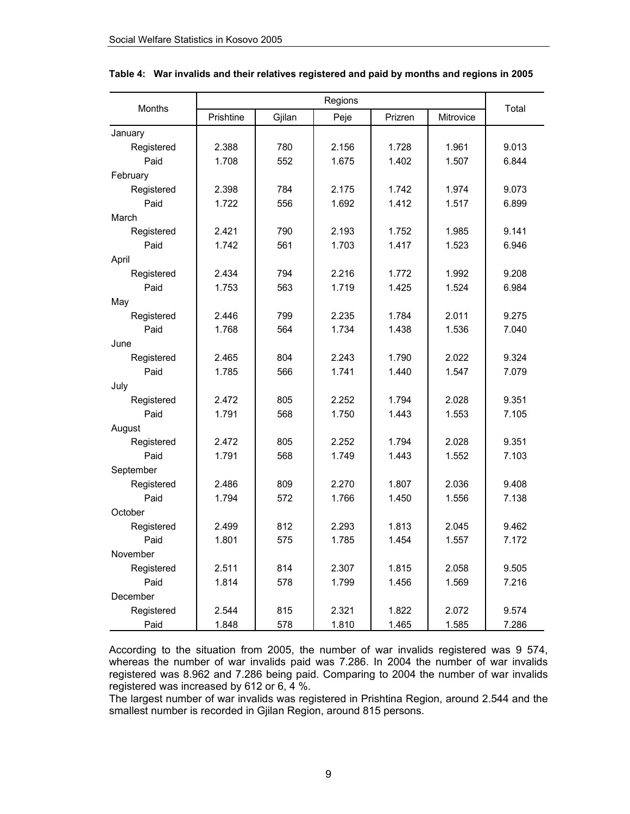| Months     |           | Total  |       |         |           |       |
|------------|-----------|--------|-------|---------|-----------|-------|
|            | Prishtine | Gjilan | Peje  | Prizren | Mitrovice |       |
| January    |           |        |       |         |           |       |
| Registered | 2.388     | 780    | 2.156 | 1.728   | 1.961     | 9.013 |
| Paid       | 1.708     | 552    | 1.675 | 1.402   | 1.507     | 6.844 |
| February   |           |        |       |         |           |       |
| Registered | 2.398     | 784    | 2.175 | 1.742   | 1.974     | 9.073 |
| Paid       | 1.722     | 556    | 1.692 | 1.412   | 1.517     | 6.899 |
| March      |           |        |       |         |           |       |
| Registered | 2.421     | 790    | 2.193 | 1.752   | 1.985     | 9.141 |
| Paid       | 1.742     | 561    | 1.703 | 1.417   | 1.523     | 6.946 |
| April      |           |        |       |         |           |       |
| Registered | 2.434     | 794    | 2.216 | 1.772   | 1.992     | 9.208 |
| Paid       | 1.753     | 563    | 1.719 | 1.425   | 1.524     | 6.984 |
| May        |           |        |       |         |           |       |
| Registered | 2.446     | 799    | 2.235 | 1.784   | 2.011     | 9.275 |
| Paid       | 1.768     | 564    | 1.734 | 1.438   | 1.536     | 7.040 |
| June       |           |        |       |         |           |       |
| Registered | 2.465     | 804    | 2.243 | 1.790   | 2.022     | 9.324 |
| Paid       | 1.785     | 566    | 1.741 | 1.440   | 1.547     | 7.079 |
| July       |           |        |       |         |           |       |
| Registered | 2.472     | 805    | 2.252 | 1.794   | 2.028     | 9.351 |
| Paid       | 1.791     | 568    | 1.750 | 1.443   | 1.553     | 7.105 |
| August     |           |        |       |         |           |       |
| Registered | 2.472     | 805    | 2.252 | 1.794   | 2.028     | 9.351 |
| Paid       | 1.791     | 568    | 1.749 | 1.443   | 1.552     | 7.103 |
| September  |           |        |       |         |           |       |
| Registered | 2.486     | 809    | 2.270 | 1.807   | 2.036     | 9.408 |
| Paid       | 1.794     | 572    | 1.766 | 1.450   | 1.556     | 7.138 |
| October    |           |        |       |         |           |       |
| Registered | 2.499     | 812    | 2.293 | 1.813   | 2.045     | 9.462 |
| Paid       | 1.801     | 575    | 1.785 | 1.454   | 1.557     | 7.172 |
| November   |           |        |       |         |           |       |
| Registered | 2.511     | 814    | 2.307 | 1.815   | 2.058     | 9.505 |
| Paid       | 1.814     | 578    | 1.799 | 1.456   | 1.569     | 7.216 |
| December   |           |        |       |         |           |       |
| Registered | 2.544     | 815    | 2.321 | 1.822   | 2.072     | 9.574 |
| Paid       | 1.848     | 578    | 1.810 | 1.465   | 1.585     | 7.286 |

#### **Table 4: War invalids and their relatives registered and paid by months and regions in 2005**

According to the situation from 2005, the number of war invalids registered was 9 574, whereas the number of war invalids paid was 7.286. In 2004 the number of war invalids registered was 8.962 and 7.286 being paid. Comparing to 2004 the number of war invalids registered was increased by 612 or 6, 4 %.

The largest number of war invalids was registered in Prishtina Region, around 2.544 and the smallest number is recorded in Gjilan Region, around 815 persons.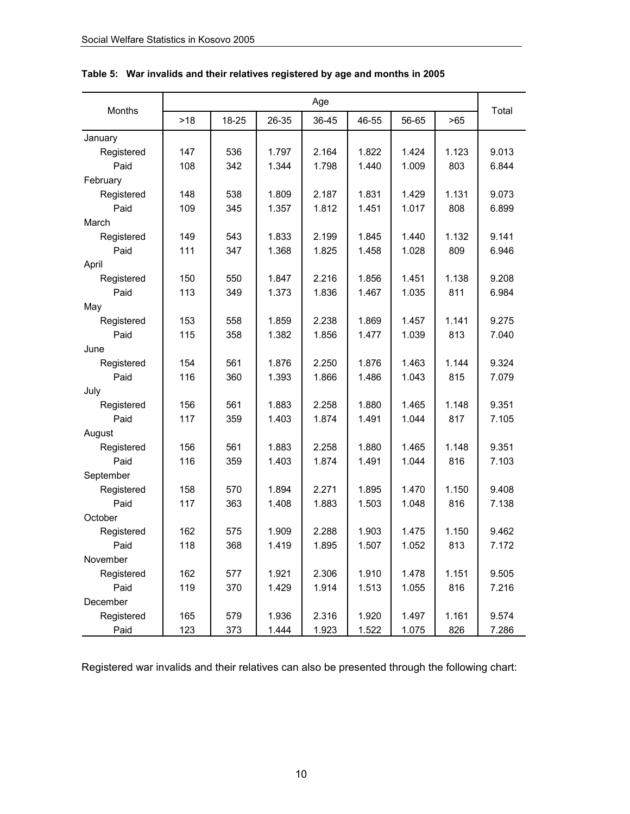|            | Age |       |       |       |       |       |       |       |
|------------|-----|-------|-------|-------|-------|-------|-------|-------|
| Months     | >18 | 18-25 | 26-35 | 36-45 | 46-55 | 56-65 | >65   | Total |
| January    |     |       |       |       |       |       |       |       |
| Registered | 147 | 536   | 1.797 | 2.164 | 1.822 | 1.424 | 1.123 | 9.013 |
| Paid       | 108 | 342   | 1.344 | 1.798 | 1.440 | 1.009 | 803   | 6.844 |
| February   |     |       |       |       |       |       |       |       |
| Registered | 148 | 538   | 1.809 | 2.187 | 1.831 | 1.429 | 1.131 | 9.073 |
| Paid       | 109 | 345   | 1.357 | 1.812 | 1.451 | 1.017 | 808   | 6.899 |
| March      |     |       |       |       |       |       |       |       |
| Registered | 149 | 543   | 1.833 | 2.199 | 1.845 | 1.440 | 1.132 | 9.141 |
| Paid       | 111 | 347   | 1.368 | 1.825 | 1.458 | 1.028 | 809   | 6.946 |
| April      |     |       |       |       |       |       |       |       |
| Registered | 150 | 550   | 1.847 | 2.216 | 1.856 | 1.451 | 1.138 | 9.208 |
| Paid       | 113 | 349   | 1.373 | 1.836 | 1.467 | 1.035 | 811   | 6.984 |
| May        |     |       |       |       |       |       |       |       |
| Registered | 153 | 558   | 1.859 | 2.238 | 1.869 | 1.457 | 1.141 | 9.275 |
| Paid       | 115 | 358   | 1.382 | 1.856 | 1.477 | 1.039 | 813   | 7.040 |
| June       |     |       |       |       |       |       |       |       |
| Registered | 154 | 561   | 1.876 | 2.250 | 1.876 | 1.463 | 1.144 | 9.324 |
| Paid       | 116 | 360   | 1.393 | 1.866 | 1.486 | 1.043 | 815   | 7.079 |
| July       |     |       |       |       |       |       |       |       |
| Registered | 156 | 561   | 1.883 | 2.258 | 1.880 | 1.465 | 1.148 | 9.351 |
| Paid       | 117 | 359   | 1.403 | 1.874 | 1.491 | 1.044 | 817   | 7.105 |
| August     |     |       |       |       |       |       |       |       |
| Registered | 156 | 561   | 1.883 | 2.258 | 1.880 | 1.465 | 1.148 | 9.351 |
| Paid       | 116 | 359   | 1.403 | 1.874 | 1.491 | 1.044 | 816   | 7.103 |
| September  |     |       |       |       |       |       |       |       |
| Registered | 158 | 570   | 1.894 | 2.271 | 1.895 | 1.470 | 1.150 | 9.408 |
| Paid       | 117 | 363   | 1.408 | 1.883 | 1.503 | 1.048 | 816   | 7.138 |
| October    |     |       |       |       |       |       |       |       |
| Registered | 162 | 575   | 1.909 | 2.288 | 1.903 | 1.475 | 1.150 | 9.462 |
| Paid       | 118 | 368   | 1.419 | 1.895 | 1.507 | 1.052 | 813   | 7.172 |
| November   |     |       |       |       |       |       |       |       |
| Registered | 162 | 577   | 1.921 | 2.306 | 1.910 | 1.478 | 1.151 | 9.505 |
| Paid       | 119 | 370   | 1.429 | 1.914 | 1.513 | 1.055 | 816   | 7.216 |
| December   |     |       |       |       |       |       |       |       |
| Registered | 165 | 579   | 1.936 | 2.316 | 1.920 | 1.497 | 1.161 | 9.574 |
| Paid       | 123 | 373   | 1.444 | 1.923 | 1.522 | 1.075 | 826   | 7.286 |

### **Table 5: War invalids and their relatives registered by age and months in 2005**

Registered war invalids and their relatives can also be presented through the following chart: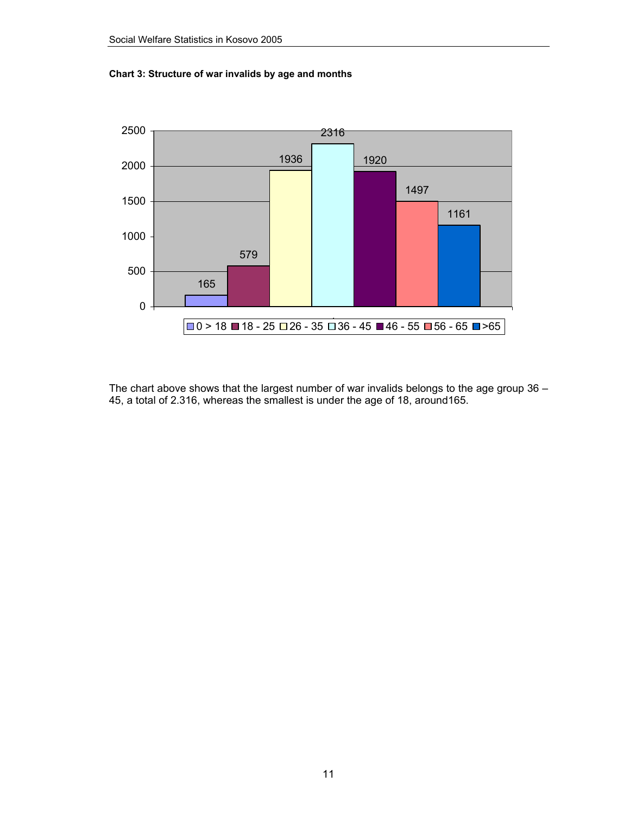



The chart above shows that the largest number of war invalids belongs to the age group 36 – 45, a total of 2.316, whereas the smallest is under the age of 18, around165.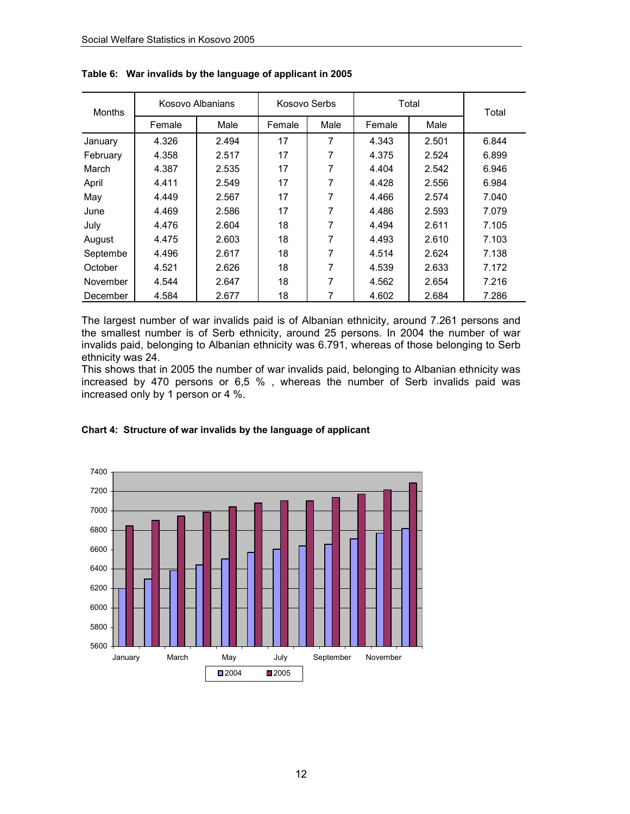| <b>Months</b> | Kosovo Albanians |       | Kosovo Serbs |      | Total  | Total |       |
|---------------|------------------|-------|--------------|------|--------|-------|-------|
|               | Female           | Male  | Female       | Male | Female | Male  |       |
| January       | 4.326            | 2.494 | 17           | 7    | 4.343  | 2.501 | 6.844 |
| February      | 4.358            | 2.517 | 17           | 7    | 4.375  | 2.524 | 6.899 |
| March         | 4.387            | 2.535 | 17           | 7    | 4.404  | 2.542 | 6.946 |
| April         | 4.411            | 2.549 | 17           | 7    | 4.428  | 2.556 | 6.984 |
| May           | 4.449            | 2.567 | 17           | 7    | 4.466  | 2.574 | 7.040 |
| June          | 4.469            | 2.586 | 17           | 7    | 4.486  | 2.593 | 7.079 |
| July          | 4.476            | 2.604 | 18           | 7    | 4.494  | 2.611 | 7.105 |
| August        | 4.475            | 2.603 | 18           | 7    | 4.493  | 2.610 | 7.103 |
| Septembe      | 4.496            | 2.617 | 18           | 7    | 4.514  | 2.624 | 7.138 |
| October       | 4.521            | 2.626 | 18           | 7    | 4.539  | 2.633 | 7.172 |
| November      | 4.544            | 2.647 | 18           | 7    | 4.562  | 2.654 | 7.216 |
| December      | 4.584            | 2.677 | 18           | 7    | 4.602  | 2.684 | 7.286 |

**Table 6: War invalids by the language of applicant in 2005** 

The largest number of war invalids paid is of Albanian ethnicity, around 7.261 persons and the smallest number is of Serb ethnicity, around 25 persons. In 2004 the number of war invalids paid, belonging to Albanian ethnicity was 6.791, whereas of those belonging to Serb ethnicity was 24.

This shows that in 2005 the number of war invalids paid, belonging to Albanian ethnicity was increased by 470 persons or 6,5 % , whereas the number of Serb invalids paid was increased only by 1 person or 4 %.



#### **Chart 4: Structure of war invalids by the language of applicant**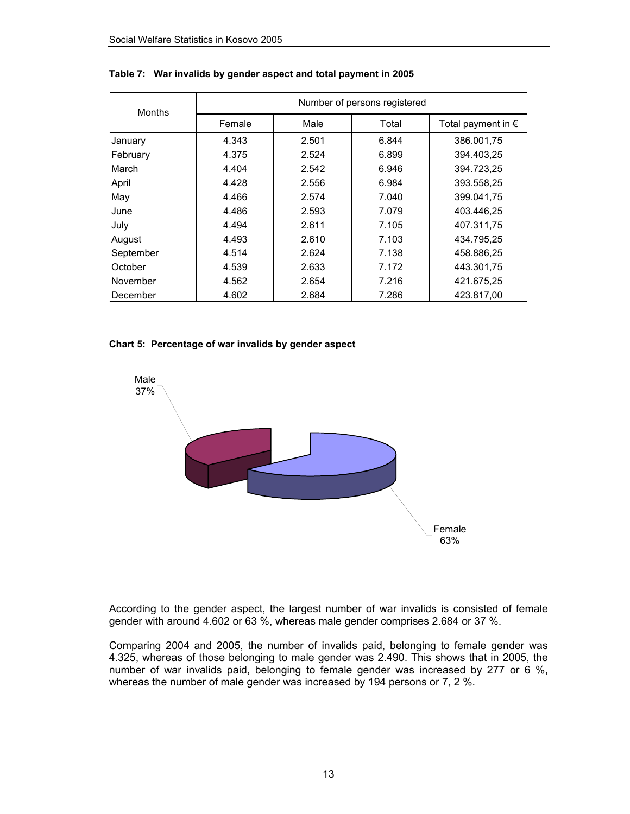| <b>Months</b> | Number of persons registered |       |       |                             |  |  |  |
|---------------|------------------------------|-------|-------|-----------------------------|--|--|--|
|               | Female                       | Male  | Total | Total payment in $\epsilon$ |  |  |  |
| January       | 4.343                        | 2.501 | 6.844 | 386.001,75                  |  |  |  |
| February      | 4.375                        | 2.524 | 6.899 | 394.403.25                  |  |  |  |
| March         | 4.404                        | 2.542 | 6.946 | 394.723.25                  |  |  |  |
| April         | 4.428                        | 2.556 | 6.984 | 393.558,25                  |  |  |  |
| May           | 4.466                        | 2.574 | 7.040 | 399.041.75                  |  |  |  |
| June          | 4.486                        | 2.593 | 7.079 | 403.446.25                  |  |  |  |
| July          | 4.494                        | 2.611 | 7.105 | 407.311.75                  |  |  |  |
| August        | 4.493                        | 2.610 | 7.103 | 434.795.25                  |  |  |  |
| September     | 4.514                        | 2.624 | 7.138 | 458.886.25                  |  |  |  |
| October       | 4.539                        | 2.633 | 7.172 | 443.301.75                  |  |  |  |
| November      | 4.562                        | 2.654 | 7.216 | 421.675,25                  |  |  |  |
| December      | 4.602                        | 2.684 | 7.286 | 423.817,00                  |  |  |  |

#### **Table 7: War invalids by gender aspect and total payment in 2005**

#### **Chart 5: Percentage of war invalids by gender aspect**



According to the gender aspect, the largest number of war invalids is consisted of female gender with around 4.602 or 63 %, whereas male gender comprises 2.684 or 37 %.

Comparing 2004 and 2005, the number of invalids paid, belonging to female gender was 4.325, whereas of those belonging to male gender was 2.490. This shows that in 2005, the number of war invalids paid, belonging to female gender was increased by 277 or 6 %, whereas the number of male gender was increased by 194 persons or 7, 2 %.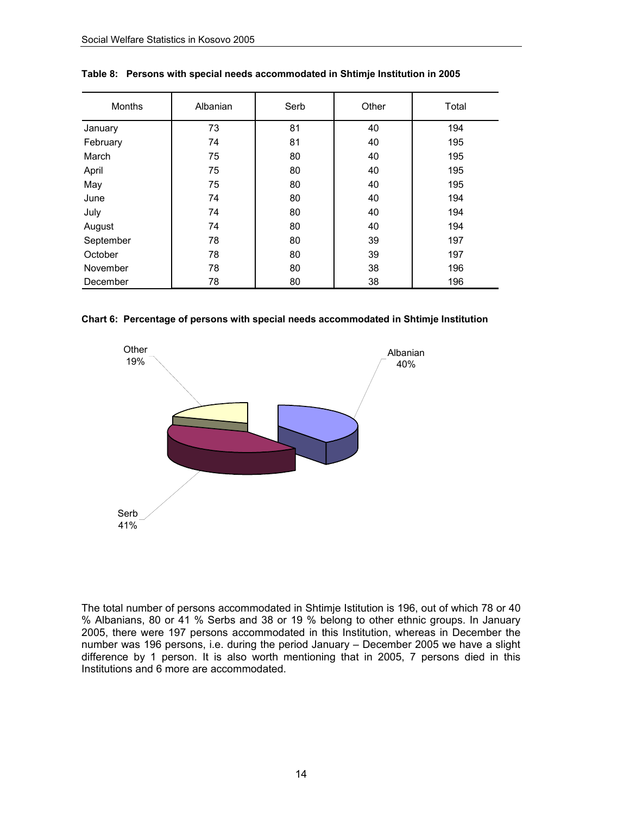| <b>Months</b> | Albanian | Serb | Other | Total |
|---------------|----------|------|-------|-------|
| January       | 73       | 81   | 40    | 194   |
| February      | 74       | 81   | 40    | 195   |
| March         | 75       | 80   | 40    | 195   |
| April         | 75       | 80   | 40    | 195   |
| May           | 75       | 80   | 40    | 195   |
| June          | 74       | 80   | 40    | 194   |
| July          | 74       | 80   | 40    | 194   |
| August        | 74       | 80   | 40    | 194   |
| September     | 78       | 80   | 39    | 197   |
| October       | 78       | 80   | 39    | 197   |
| November      | 78       | 80   | 38    | 196   |
| December      | 78       | 80   | 38    | 196   |

**Table 8: Persons with special needs accommodated in Shtimje Institution in 2005** 

**Chart 6: Percentage of persons with special needs accommodated in Shtimje Institution** 



The total number of persons accommodated in Shtimje Istitution is 196, out of which 78 or 40 % Albanians, 80 or 41 % Serbs and 38 or 19 % belong to other ethnic groups. In January 2005, there were 197 persons accommodated in this Institution, whereas in December the number was 196 persons, i.e. during the period January – December 2005 we have a slight difference by 1 person. It is also worth mentioning that in 2005, 7 persons died in this Institutions and 6 more are accommodated.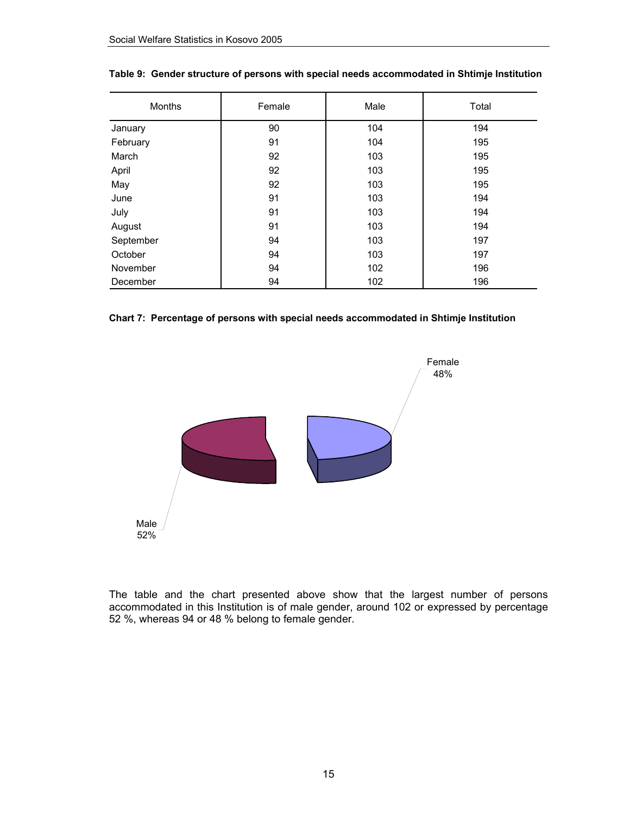| <b>Months</b> | Female | Male | Total |
|---------------|--------|------|-------|
| January       | 90     | 104  | 194   |
| February      | 91     | 104  | 195   |
| March         | 92     | 103  | 195   |
| April         | 92     | 103  | 195   |
| May           | 92     | 103  | 195   |
| June          | 91     | 103  | 194   |
| July          | 91     | 103  | 194   |
| August        | 91     | 103  | 194   |
| September     | 94     | 103  | 197   |
| October       | 94     | 103  | 197   |
| November      | 94     | 102  | 196   |
| December      | 94     | 102  | 196   |

#### **Table 9: Gender structure of persons with special needs accommodated in Shtimje Institution**





The table and the chart presented above show that the largest number of persons accommodated in this Institution is of male gender, around 102 or expressed by percentage 52 %, whereas 94 or 48 % belong to female gender.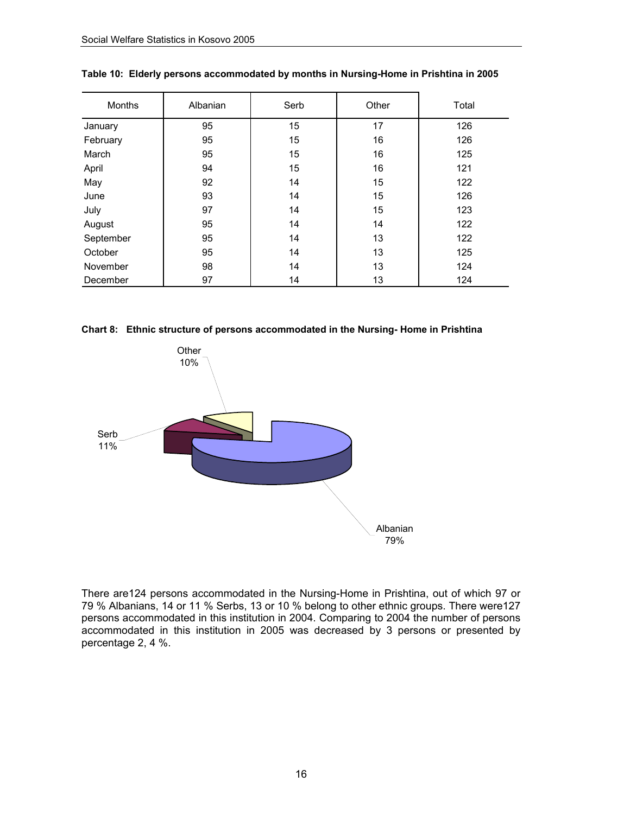| <b>Months</b> | Albanian | Serb | Other | Total |
|---------------|----------|------|-------|-------|
| January       | 95       | 15   | 17    | 126   |
| February      | 95       | 15   | 16    | 126   |
| March         | 95       | 15   | 16    | 125   |
| April         | 94       | 15   | 16    | 121   |
| May           | 92       | 14   | 15    | 122   |
| June          | 93       | 14   | 15    | 126   |
| July          | 97       | 14   | 15    | 123   |
| August        | 95       | 14   | 14    | 122   |
| September     | 95       | 14   | 13    | 122   |
| October       | 95       | 14   | 13    | 125   |
| November      | 98       | 14   | 13    | 124   |
| December      | 97       | 14   | 13    | 124   |

|  |  |  |  |  | Table 10: Elderly persons accommodated by months in Nursing-Home in Prishtina in 2005 |
|--|--|--|--|--|---------------------------------------------------------------------------------------|
|--|--|--|--|--|---------------------------------------------------------------------------------------|

**Chart 8: Ethnic structure of persons accommodated in the Nursing- Home in Prishtina** 



There are124 persons accommodated in the Nursing-Home in Prishtina, out of which 97 or 79 % Albanians, 14 or 11 % Serbs, 13 or 10 % belong to other ethnic groups. There were127 persons accommodated in this institution in 2004. Comparing to 2004 the number of persons accommodated in this institution in 2005 was decreased by 3 persons or presented by percentage 2, 4 %.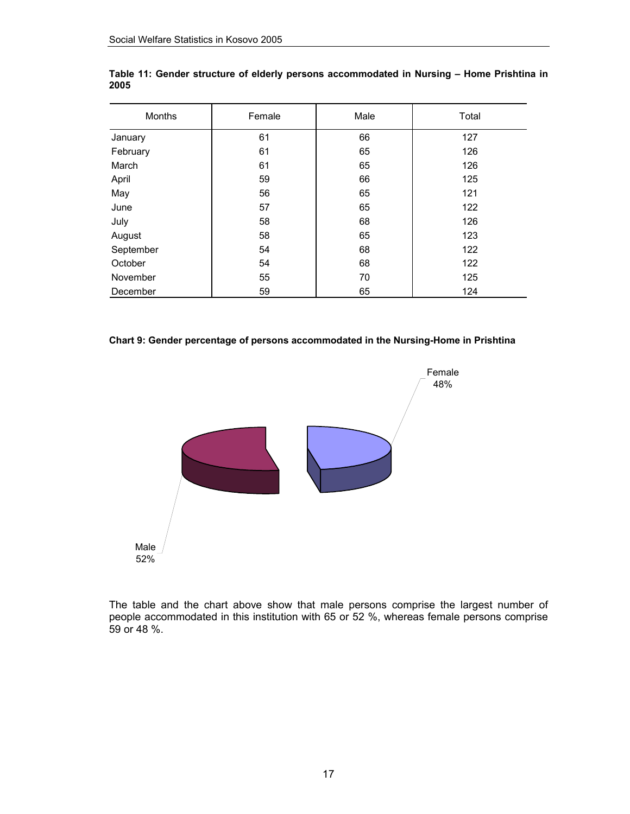| Months    | Female | Male | Total |
|-----------|--------|------|-------|
| January   | 61     | 66   | 127   |
| February  | 61     | 65   | 126   |
| March     | 61     | 65   | 126   |
| April     | 59     | 66   | 125   |
| May       | 56     | 65   | 121   |
| June      | 57     | 65   | 122   |
| July      | 58     | 68   | 126   |
| August    | 58     | 65   | 123   |
| September | 54     | 68   | 122   |
| October   | 54     | 68   | 122   |
| November  | 55     | 70   | 125   |
| December  | 59     | 65   | 124   |

**Table 11: Gender structure of elderly persons accommodated in Nursing – Home Prishtina in 2005** 

#### **Chart 9: Gender percentage of persons accommodated in the Nursing-Home in Prishtina**



The table and the chart above show that male persons comprise the largest number of people accommodated in this institution with 65 or 52 %, whereas female persons comprise 59 or 48 %.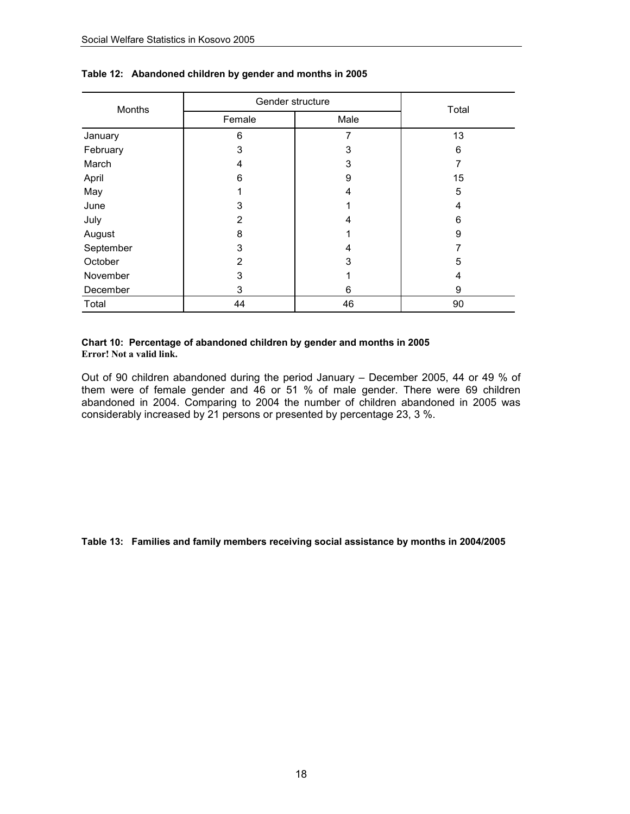| Months    | Gender structure | Total |    |
|-----------|------------------|-------|----|
|           | Female           | Male  |    |
| January   | 6                | 7     | 13 |
| February  | 3                | 3     | 6  |
| March     | 4                | 3     |    |
| April     | 6                | 9     | 15 |
| May       |                  | 4     | 5  |
| June      | 3                |       | 4  |
| July      | 2                | 4     | 6  |
| August    | 8                | 1     | 9  |
| September | 3                | 4     |    |
| October   | 2                | 3     | 5  |
| November  | 3                |       | 4  |
| December  | 3                | 6     | 9  |
| Total     | 44               | 46    | 90 |

#### **Table 12: Abandoned children by gender and months in 2005**

#### **Chart 10: Percentage of abandoned children by gender and months in 2005 Error! Not a valid link.**

Out of 90 children abandoned during the period January – December 2005, 44 or 49 % of them were of female gender and 46 or 51 % of male gender. There were 69 children abandoned in 2004. Comparing to 2004 the number of children abandoned in 2005 was considerably increased by 21 persons or presented by percentage 23, 3 %.

#### **Table 13: Families and family members receiving social assistance by months in 2004/2005**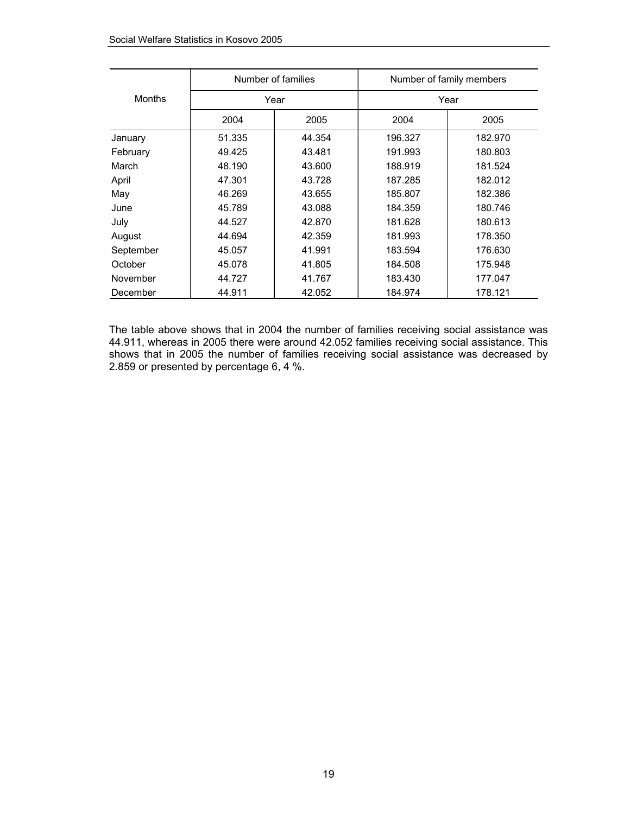|               |        | Number of families |         | Number of family members |
|---------------|--------|--------------------|---------|--------------------------|
| <b>Months</b> |        | Year               |         | Year                     |
|               | 2004   | 2005               | 2004    | 2005                     |
| January       | 51.335 | 44.354             | 196.327 | 182.970                  |
| February      | 49.425 | 43.481             | 191.993 | 180.803                  |
| March         | 48.190 | 43.600             | 188.919 | 181.524                  |
| April         | 47.301 | 43.728             | 187.285 | 182.012                  |
| May           | 46.269 | 43.655             | 185.807 | 182.386                  |
| June          | 45.789 | 43.088             | 184.359 | 180.746                  |
| July          | 44.527 | 42.870             | 181.628 | 180.613                  |
| August        | 44.694 | 42.359             | 181.993 | 178.350                  |
| September     | 45.057 | 41.991             | 183.594 | 176.630                  |
| October       | 45.078 | 41.805             | 184.508 | 175.948                  |
| November      | 44.727 | 41.767             | 183.430 | 177.047                  |
| December      | 44.911 | 42.052             | 184.974 | 178.121                  |

The table above shows that in 2004 the number of families receiving social assistance was 44.911, whereas in 2005 there were around 42.052 families receiving social assistance. This shows that in 2005 the number of families receiving social assistance was decreased by 2.859 or presented by percentage 6, 4 %.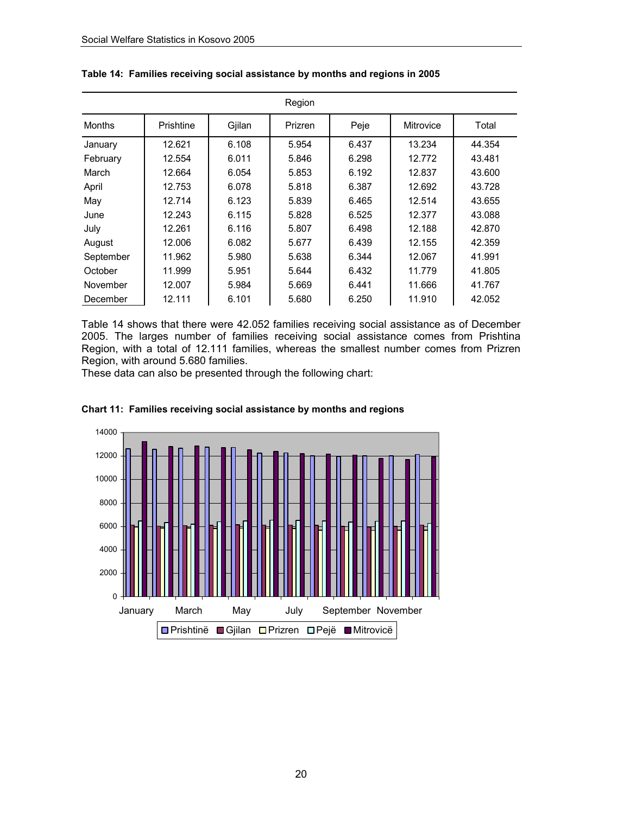|           |           |        | Region  |       |                  |        |
|-----------|-----------|--------|---------|-------|------------------|--------|
| Months    | Prishtine | Gjilan | Prizren | Peje  | <b>Mitrovice</b> | Total  |
| January   | 12.621    | 6.108  | 5.954   | 6.437 | 13.234           | 44.354 |
| February  | 12.554    | 6.011  | 5.846   | 6.298 | 12.772           | 43.481 |
| March     | 12.664    | 6.054  | 5.853   | 6.192 | 12.837           | 43.600 |
| April     | 12.753    | 6.078  | 5.818   | 6.387 | 12.692           | 43.728 |
| May       | 12.714    | 6.123  | 5.839   | 6.465 | 12.514           | 43.655 |
| June      | 12.243    | 6.115  | 5.828   | 6.525 | 12.377           | 43.088 |
| July      | 12.261    | 6.116  | 5.807   | 6.498 | 12.188           | 42.870 |
| August    | 12.006    | 6.082  | 5.677   | 6.439 | 12.155           | 42.359 |
| September | 11.962    | 5.980  | 5.638   | 6.344 | 12.067           | 41.991 |
| October   | 11.999    | 5.951  | 5.644   | 6.432 | 11.779           | 41.805 |
| November  | 12.007    | 5.984  | 5.669   | 6.441 | 11.666           | 41.767 |
| December  | 12.111    | 6.101  | 5.680   | 6.250 | 11.910           | 42.052 |

|  |  |  |  |  |  | Table 14: Families receiving social assistance by months and regions in 2005 |
|--|--|--|--|--|--|------------------------------------------------------------------------------|
|--|--|--|--|--|--|------------------------------------------------------------------------------|

Table 14 shows that there were 42.052 families receiving social assistance as of December 2005. The larges number of families receiving social assistance comes from Prishtina Region, with a total of 12.111 families, whereas the smallest number comes from Prizren Region, with around 5.680 families.

These data can also be presented through the following chart:



#### **Chart 11: Families receiving social assistance by months and regions**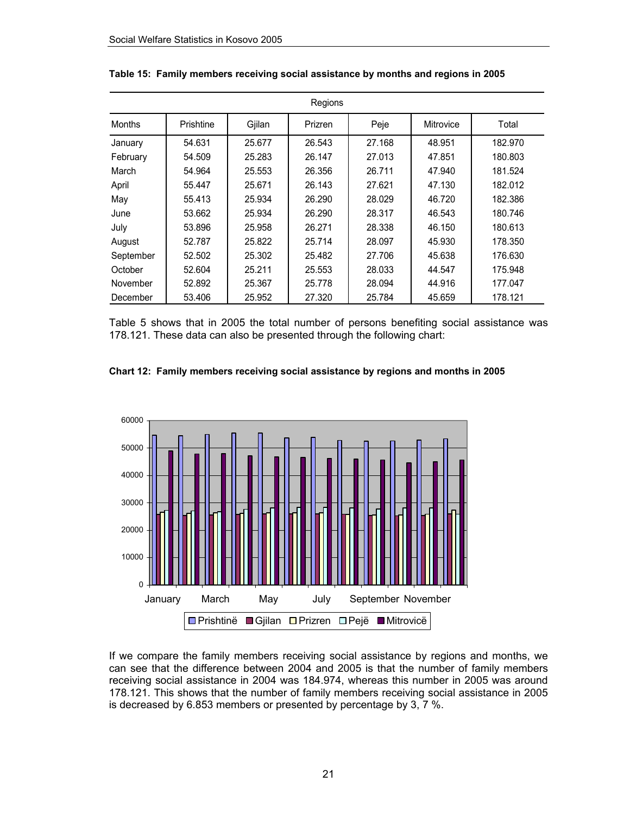|               |           |        | Regions |        |                  |         |
|---------------|-----------|--------|---------|--------|------------------|---------|
| <b>Months</b> | Prishtine | Gjilan | Prizren | Peje   | <b>Mitrovice</b> | Total   |
| January       | 54.631    | 25.677 | 26.543  | 27.168 | 48.951           | 182.970 |
| February      | 54.509    | 25.283 | 26.147  | 27.013 | 47.851           | 180.803 |
| March         | 54.964    | 25.553 | 26.356  | 26.711 | 47.940           | 181.524 |
| April         | 55.447    | 25.671 | 26.143  | 27.621 | 47.130           | 182.012 |
| May           | 55.413    | 25.934 | 26.290  | 28.029 | 46.720           | 182.386 |
| June          | 53.662    | 25.934 | 26.290  | 28.317 | 46.543           | 180.746 |
| July          | 53.896    | 25.958 | 26.271  | 28.338 | 46.150           | 180.613 |
| August        | 52.787    | 25.822 | 25.714  | 28.097 | 45.930           | 178.350 |
| September     | 52.502    | 25.302 | 25.482  | 27.706 | 45.638           | 176.630 |
| October       | 52.604    | 25.211 | 25.553  | 28,033 | 44.547           | 175.948 |
| November      | 52.892    | 25.367 | 25.778  | 28.094 | 44.916           | 177.047 |
| December      | 53.406    | 25.952 | 27.320  | 25.784 | 45.659           | 178.121 |

|  | Table 15: Family members receiving social assistance by months and regions in 2005 |  |  |  |  |
|--|------------------------------------------------------------------------------------|--|--|--|--|
|--|------------------------------------------------------------------------------------|--|--|--|--|

Table 5 shows that in 2005 the total number of persons benefiting social assistance was 178.121. These data can also be presented through the following chart:





If we compare the family members receiving social assistance by regions and months, we can see that the difference between 2004 and 2005 is that the number of family members receiving social assistance in 2004 was 184.974, whereas this number in 2005 was around 178.121. This shows that the number of family members receiving social assistance in 2005 is decreased by 6.853 members or presented by percentage by 3, 7 %.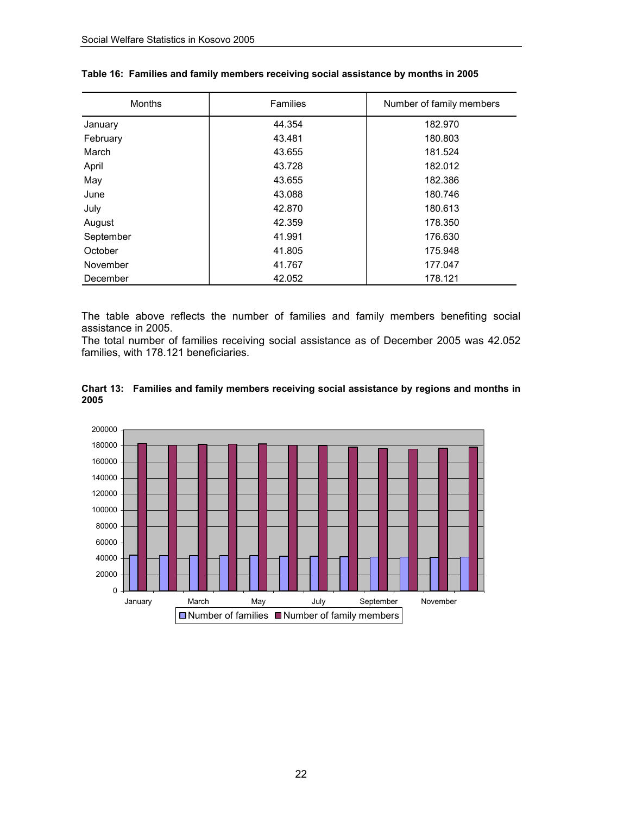| <b>Months</b> | <b>Families</b> | Number of family members |
|---------------|-----------------|--------------------------|
| January       | 44.354          | 182.970                  |
| February      | 43.481          | 180.803                  |
| March         | 43.655          | 181.524                  |
| April         | 43.728          | 182.012                  |
| May           | 43.655          | 182.386                  |
| June          | 43.088          | 180.746                  |
| July          | 42.870          | 180.613                  |
| August        | 42.359          | 178.350                  |
| September     | 41.991          | 176.630                  |
| October       | 41.805          | 175.948                  |
| November      | 41.767          | 177.047                  |
| December      | 42.052          | 178.121                  |

#### **Table 16: Families and family members receiving social assistance by months in 2005**

The table above reflects the number of families and family members benefiting social assistance in 2005.

The total number of families receiving social assistance as of December 2005 was 42.052 families, with 178.121 beneficiaries.



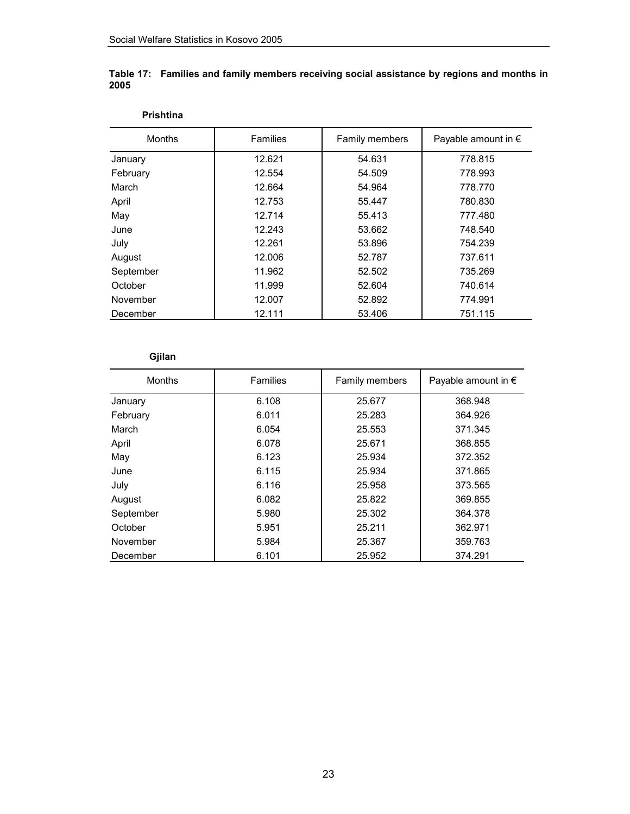**Prishtina**

| <b>Months</b> | <b>Families</b> | Family members | Payable amount in $\epsilon$ |
|---------------|-----------------|----------------|------------------------------|
| January       | 12.621          | 54.631         | 778.815                      |
| February      | 12.554          | 54.509         | 778.993                      |
| March         | 12.664          | 54.964         | 778.770                      |
| April         | 12.753          | 55.447         | 780.830                      |
| May           | 12.714          | 55.413         | 777.480                      |
| June          | 12.243          | 53.662         | 748.540                      |
| July          | 12.261          | 53.896         | 754.239                      |
| August        | 12.006          | 52.787         | 737.611                      |
| September     | 11.962          | 52.502         | 735.269                      |
| October       | 11.999          | 52.604         | 740.614                      |
| November      | 12.007          | 52.892         | 774.991                      |
| December      | 12.111          | 53.406         | 751.115                      |

#### **Table 17: Families and family members receiving social assistance by regions and months in 2005**

### **Gjilan**

| <b>Months</b> | <b>Families</b> | Family members | Payable amount in $\epsilon$ |
|---------------|-----------------|----------------|------------------------------|
| January       | 6.108           | 25.677         | 368.948                      |
| February      | 6.011           | 25.283         | 364.926                      |
| March         | 6.054           | 25.553         | 371.345                      |
| April         | 6.078           | 25.671         | 368.855                      |
| May           | 6.123           | 25.934         | 372.352                      |
| June          | 6.115           | 25.934         | 371.865                      |
| July          | 6.116           | 25.958         | 373.565                      |
| August        | 6.082           | 25.822         | 369.855                      |
| September     | 5.980           | 25.302         | 364.378                      |
| October       | 5.951           | 25.211         | 362.971                      |
| November      | 5.984           | 25.367         | 359.763                      |
| December      | 6.101           | 25.952         | 374.291                      |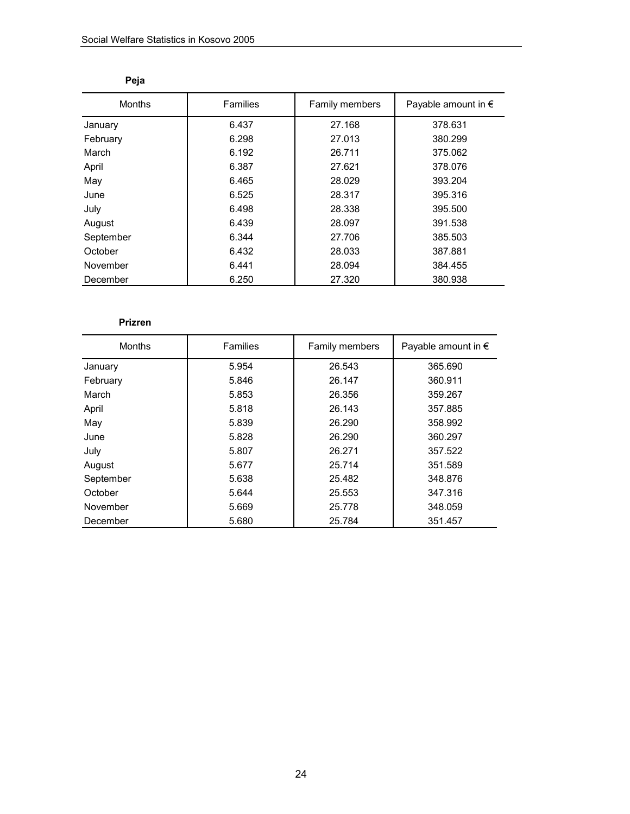| <b>Months</b> | Families | Family members | Payable amount in $\epsilon$ |
|---------------|----------|----------------|------------------------------|
| January       | 6.437    | 27.168         | 378.631                      |
| February      | 6.298    | 27.013         | 380.299                      |
| March         | 6.192    | 26.711         | 375.062                      |
| April         | 6.387    | 27.621         | 378.076                      |
| May           | 6.465    | 28.029         | 393.204                      |
| June          | 6.525    | 28.317         | 395.316                      |
| July          | 6.498    | 28.338         | 395.500                      |
| August        | 6.439    | 28.097         | 391.538                      |
| September     | 6.344    | 27.706         | 385.503                      |
| October       | 6.432    | 28.033         | 387.881                      |
| November      | 6.441    | 28.094         | 384.455                      |
| December      | 6.250    | 27.320         | 380.938                      |

| ۰.<br>×<br>۰.<br>u |
|--------------------|
|--------------------|

### **Prizren**

| <b>Months</b> | Families | Family members | Payable amount in $\epsilon$ |
|---------------|----------|----------------|------------------------------|
| January       | 5.954    | 26.543         | 365.690                      |
| February      | 5.846    | 26.147         | 360.911                      |
| March         | 5.853    | 26.356         | 359.267                      |
| April         | 5.818    | 26.143         | 357.885                      |
| May           | 5.839    | 26.290         | 358.992                      |
| June          | 5.828    | 26.290         | 360.297                      |
| July          | 5.807    | 26.271         | 357.522                      |
| August        | 5.677    | 25.714         | 351.589                      |
| September     | 5.638    | 25.482         | 348.876                      |
| October       | 5.644    | 25.553         | 347.316                      |
| November      | 5.669    | 25.778         | 348.059                      |
| December      | 5.680    | 25.784         | 351.457                      |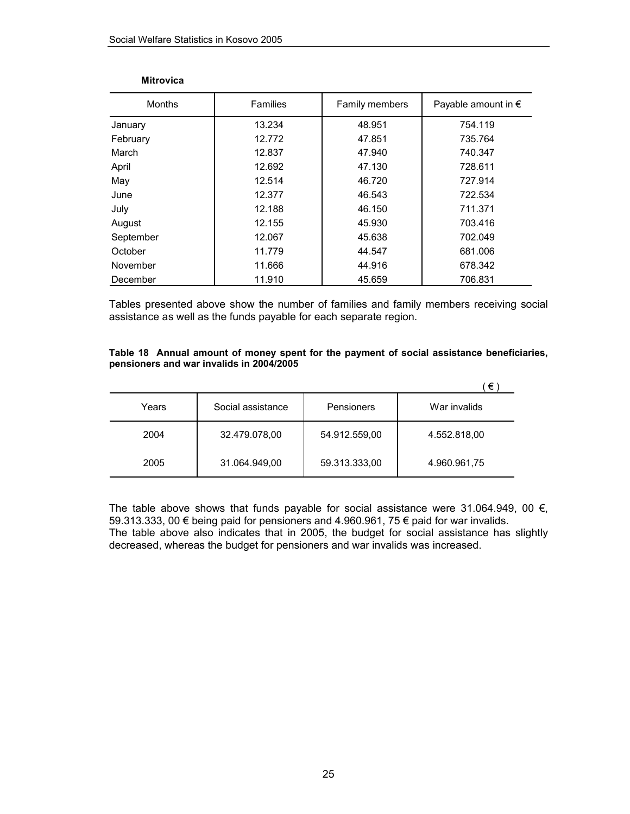| <b>Months</b> | <b>Families</b> | Family members | Payable amount in $\epsilon$ |
|---------------|-----------------|----------------|------------------------------|
| January       | 13.234          | 48.951         | 754.119                      |
| February      | 12.772          | 47.851         | 735.764                      |
| March         | 12.837          | 47.940         | 740.347                      |
| April         | 12.692          | 47.130         | 728.611                      |
| May           | 12.514          | 46.720         | 727.914                      |
| June          | 12.377          | 46.543         | 722.534                      |
| July          | 12.188          | 46.150         | 711.371                      |
| August        | 12.155          | 45.930         | 703.416                      |
| September     | 12.067          | 45.638         | 702.049                      |
| October       | 11.779          | 44.547         | 681.006                      |
| November      | 11.666          | 44.916         | 678.342                      |
| December      | 11.910          | 45.659         | 706.831                      |

#### **Mitrovica**

Tables presented above show the number of families and family members receiving social assistance as well as the funds payable for each separate region.

#### **Table 18 Annual amount of money spent for the payment of social assistance beneficiaries, pensioners and war invalids in 2004/2005**

|       |                   |               | €            |
|-------|-------------------|---------------|--------------|
| Years | Social assistance | Pensioners    | War invalids |
| 2004  | 32.479.078,00     | 54.912.559,00 | 4.552.818,00 |
| 2005  | 31.064.949,00     | 59.313.333,00 | 4.960.961,75 |

The table above shows that funds payable for social assistance were 31.064.949, 00  $\epsilon$ , 59.313.333, 00 € being paid for pensioners and 4.960.961, 75 € paid for war invalids. The table above also indicates that in 2005, the budget for social assistance has slightly decreased, whereas the budget for pensioners and war invalids was increased.